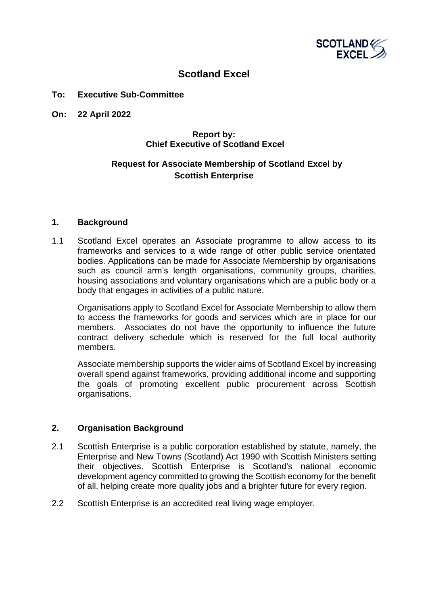

# **Scotland Excel**

#### **To: Executive Sub-Committee**

**On: 22 April 2022**

# **Report by: Chief Executive of Scotland Excel**

# **Request for Associate Membership of Scotland Excel by Scottish Enterprise**

#### **1. Background**

1.1 Scotland Excel operates an Associate programme to allow access to its frameworks and services to a wide range of other public service orientated bodies. Applications can be made for Associate Membership by organisations such as council arm's length organisations, community groups, charities, housing associations and voluntary organisations which are a public body or a body that engages in activities of a public nature.

Organisations apply to Scotland Excel for Associate Membership to allow them to access the frameworks for goods and services which are in place for our members. Associates do not have the opportunity to influence the future contract delivery schedule which is reserved for the full local authority members.

Associate membership supports the wider aims of Scotland Excel by increasing overall spend against frameworks, providing additional income and supporting the goals of promoting excellent public procurement across Scottish organisations.

### **2. Organisation Background**

- 2.1 Scottish Enterprise is a public corporation established by statute, namely, the Enterprise and New Towns (Scotland) Act 1990 with Scottish Ministers setting their objectives. Scottish Enterprise is Scotland's national economic development agency committed to growing the Scottish economy for the benefit of all, helping create more quality jobs and a brighter future for every region.
- 2.2 Scottish Enterprise is an accredited real living wage employer.